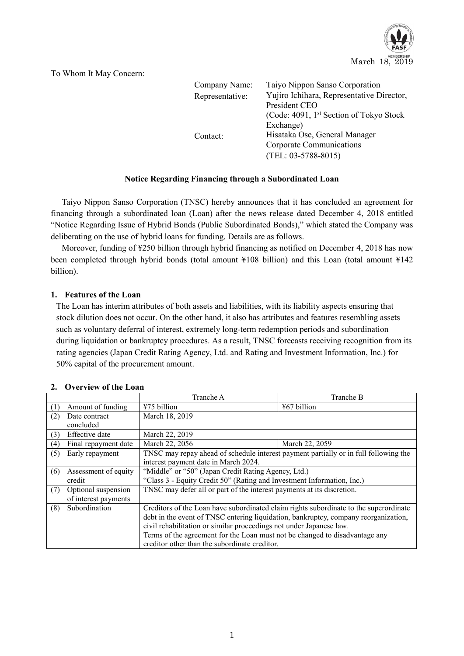

To Whom It May Concern:

| Company Name:<br>Representative: | Taiyo Nippon Sanso Corporation<br>Yujiro Ichihara, Representative Director,<br>President CEO                                                           |
|----------------------------------|--------------------------------------------------------------------------------------------------------------------------------------------------------|
| Contact:                         | (Code: 4091, 1 <sup>st</sup> Section of Tokyo Stock<br>Exchange)<br>Hisataka Ose, General Manager<br>Corporate Communications<br>$(TEL: 03-5788-8015)$ |

## **Notice Regarding Financing through a Subordinated Loan**

Taiyo Nippon Sanso Corporation (TNSC) hereby announces that it has concluded an agreement for financing through a subordinated loan (Loan) after the news release dated December 4, 2018 entitled "Notice Regarding Issue of Hybrid Bonds (Public Subordinated Bonds)," which stated the Company was deliberating on the use of hybrid loans for funding. Details are as follows.

Moreover, funding of ¥250 billion through hybrid financing as notified on December 4, 2018 has now been completed through hybrid bonds (total amount ¥108 billion) and this Loan (total amount ¥142 billion).

## **1. Features of the Loan**

The Loan has interim attributes of both assets and liabilities, with its liability aspects ensuring that stock dilution does not occur. On the other hand, it also has attributes and features resembling assets such as voluntary deferral of interest, extremely long-term redemption periods and subordination during liquidation or bankruptcy procedures. As a result, TNSC forecasts receiving recognition from its rating agencies (Japan Credit Rating Agency, Ltd. and Rating and Investment Information, Inc.) for 50% capital of the procurement amount.

|     |                                             | Tranche A                                                                                                                                                                                                                                                                                  | Tranche B                                                                             |  |
|-----|---------------------------------------------|--------------------------------------------------------------------------------------------------------------------------------------------------------------------------------------------------------------------------------------------------------------------------------------------|---------------------------------------------------------------------------------------|--|
|     | Amount of funding                           | ¥75 billion                                                                                                                                                                                                                                                                                | ¥67 billion                                                                           |  |
| (2) | Date contract<br>concluded                  | March 18, 2019                                                                                                                                                                                                                                                                             |                                                                                       |  |
| (3) | Effective date                              | March 22, 2019                                                                                                                                                                                                                                                                             |                                                                                       |  |
| (4) | Final repayment date                        | March 22, 2056                                                                                                                                                                                                                                                                             | March 22, 2059                                                                        |  |
| (5) | Early repayment                             | TNSC may repay ahead of schedule interest payment partially or in full following the<br>interest payment date in March 2024.                                                                                                                                                               |                                                                                       |  |
| (6) | Assessment of equity<br>credit              | "Middle" or "50" (Japan Credit Rating Agency, Ltd.)<br>"Class 3 - Equity Credit 50" (Rating and Investment Information, Inc.)                                                                                                                                                              |                                                                                       |  |
| (7) | Optional suspension<br>of interest payments | TNSC may defer all or part of the interest payments at its discretion.                                                                                                                                                                                                                     |                                                                                       |  |
| (8) | Subordination                               | debt in the event of TNSC entering liquidation, bankruptcy, company reorganization,<br>civil rehabilitation or similar proceedings not under Japanese law.<br>Terms of the agreement for the Loan must not be changed to disadvantage any<br>creditor other than the subordinate creditor. | Creditors of the Loan have subordinated claim rights subordinate to the superordinate |  |

## **2. Overview of the Loan**